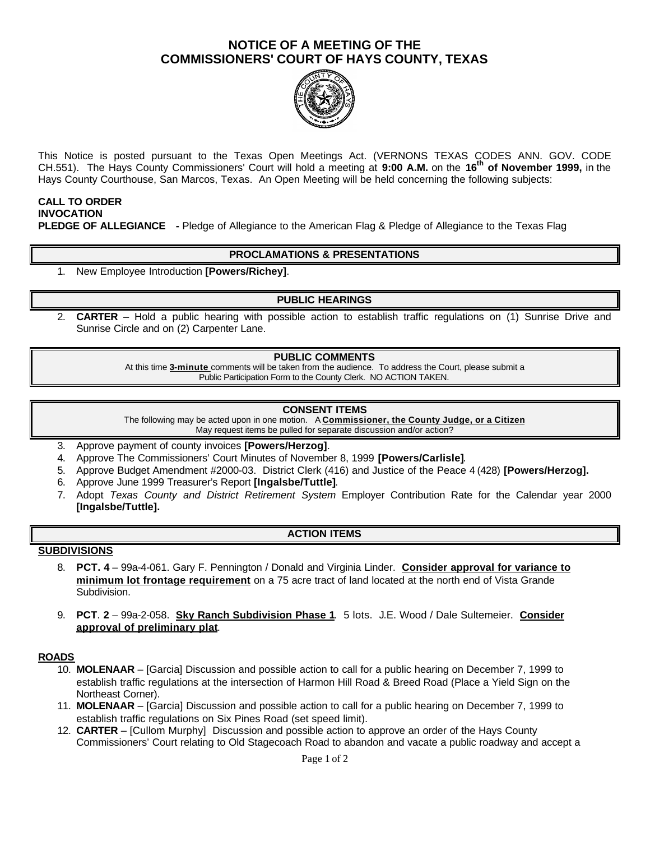# **NOTICE OF A MEETING OF THE COMMISSIONERS' COURT OF HAYS COUNTY, TEXAS**



This Notice is posted pursuant to the Texas Open Meetings Act. (VERNONS TEXAS CODES ANN. GOV. CODE CH.551). The Hays County Commissioners' Court will hold a meeting at **9:00 A.M.** on the **16th of November 1999,** in the Hays County Courthouse, San Marcos, Texas. An Open Meeting will be held concerning the following subjects:

## **CALL TO ORDER INVOCATION PLEDGE OF ALLEGIANCE -** Pledge of Allegiance to the American Flag & Pledge of Allegiance to the Texas Flag

## **PROCLAMATIONS & PRESENTATIONS**

1. New Employee Introduction **[Powers/Richey]**.

## **PUBLIC HEARINGS**

2. **CARTER** – Hold a public hearing with possible action to establish traffic regulations on (1) Sunrise Drive and Sunrise Circle and on (2) Carpenter Lane.

#### **PUBLIC COMMENTS**

At this time **3-minute** comments will be taken from the audience. To address the Court, please submit a Public Participation Form to the County Clerk. NO ACTION TAKEN.

#### **CONSENT ITEMS**

The following may be acted upon in one motion. A **Commissioner, the County Judge, or a Citizen** May request items be pulled for separate discussion and/or action?

- 3. Approve payment of county invoices **[Powers/Herzog]**.
- 4. Approve The Commissioners' Court Minutes of November 8, 1999 **[Powers/Carlisle]**.
- 5. Approve Budget Amendment #2000-03. District Clerk (416) and Justice of the Peace 4 (428) **[Powers/Herzog].**
- 6. Approve June 1999 Treasurer's Report **[Ingalsbe/Tuttle]**.
- 7. Adopt *Texas County and District Retirement System* Employer Contribution Rate for the Calendar year 2000 **[Ingalsbe/Tuttle].**

## **ACTION ITEMS**

#### **SUBDIVISIONS**

- 8. **PCT. 4** 99a-4-061. Gary F. Pennington / Donald and Virginia Linder. **Consider approval for variance to minimum lot frontage requirement** on a 75 acre tract of land located at the north end of Vista Grande Subdivision.
- 9. **PCT**. **2** 99a-2-058. **Sky Ranch Subdivision Phase 1**. 5 lots. J.E. Wood / Dale Sultemeier. **Consider approval of preliminary plat**.

#### **ROADS**

- 10. **MOLENAAR** [Garcia] Discussion and possible action to call for a public hearing on December 7, 1999 to establish traffic regulations at the intersection of Harmon Hill Road & Breed Road (Place a Yield Sign on the Northeast Corner).
- 11. **MOLENAAR** [Garcia] Discussion and possible action to call for a public hearing on December 7, 1999 to establish traffic regulations on Six Pines Road (set speed limit).
- 12. **CARTER**  [Cullom Murphy] Discussion and possible action to approve an order of the Hays County Commissioners' Court relating to Old Stagecoach Road to abandon and vacate a public roadway and accept a